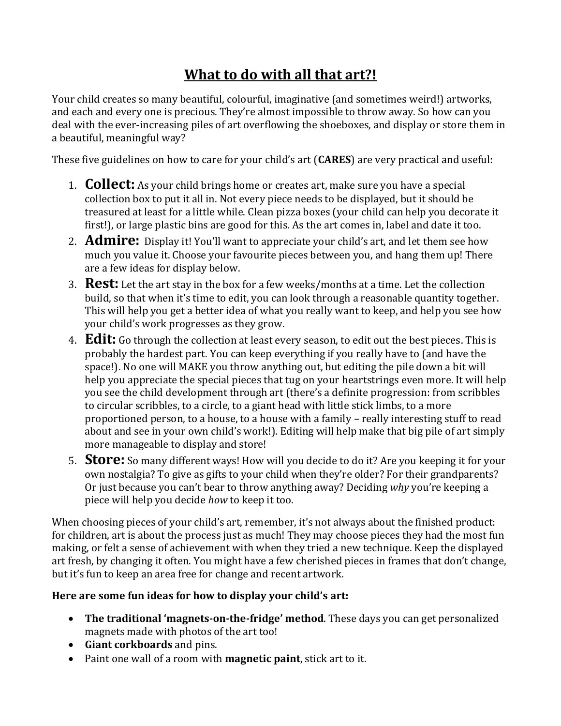# **What to do with all that art?!**

Your child creates so many beautiful, colourful, imaginative (and sometimes weird!) artworks, and each and every one is precious. They're almost impossible to throw away. So how can you deal with the ever-increasing piles of art overflowing the shoeboxes, and display or store them in a beautiful, meaningful way?

These five guidelines on how to care for your child's art (**CARES**) are very practical and useful:

- 1. **Collect:** As your child brings home or creates art, make sure you have a special collection box to put it all in. Not every piece needs to be displayed, but it should be treasured at least for a little while. Clean pizza boxes (your child can help you decorate it first!), or large plastic bins are good for this. As the art comes in, label and date it too.
- 2. **Admire:** Display it! You'll want to appreciate your child's art, and let them see how much you value it. Choose your favourite pieces between you, and hang them up! There are a few ideas for display below.
- 3. **Rest:** Let the art stay in the box for a few weeks/months at a time. Let the collection build, so that when it's time to edit, you can look through a reasonable quantity together. This will help you get a better idea of what you really want to keep, and help you see how your child's work progresses as they grow.
- 4. **Edit:** Go through the collection at least every season, to edit out the best pieces. This is probably the hardest part. You can keep everything if you really have to (and have the space!). No one will MAKE you throw anything out, but editing the pile down a bit will help you appreciate the special pieces that tug on your heartstrings even more. It will help you see the child development through art (there's a definite progression: from scribbles to circular scribbles, to a circle, to a giant head with little stick limbs, to a more proportioned person, to a house, to a house with a family – really interesting stuff to read about and see in your own child's work!). Editing will help make that big pile of art simply more manageable to display and store!
- 5. **Store:** So many different ways! How will you decide to do it? Are you keeping it for your own nostalgia? To give as gifts to your child when they're older? For their grandparents? Or just because you can't bear to throw anything away? Deciding *why* you're keeping a piece will help you decide *how* to keep it too.

When choosing pieces of your child's art, remember, it's not always about the finished product: for children, art is about the process just as much! They may choose pieces they had the most fun making, or felt a sense of achievement with when they tried a new technique. Keep the displayed art fresh, by changing it often. You might have a few cherished pieces in frames that don't change, but it's fun to keep an area free for change and recent artwork.

## **Here are some fun ideas for how to display your child's art:**

- **The traditional 'magnets-on-the-fridge' method**. These days you can get personalized magnets made with photos of the art too!
- **Giant corkboards** and pins.
- Paint one wall of a room with **magnetic paint**, stick art to it.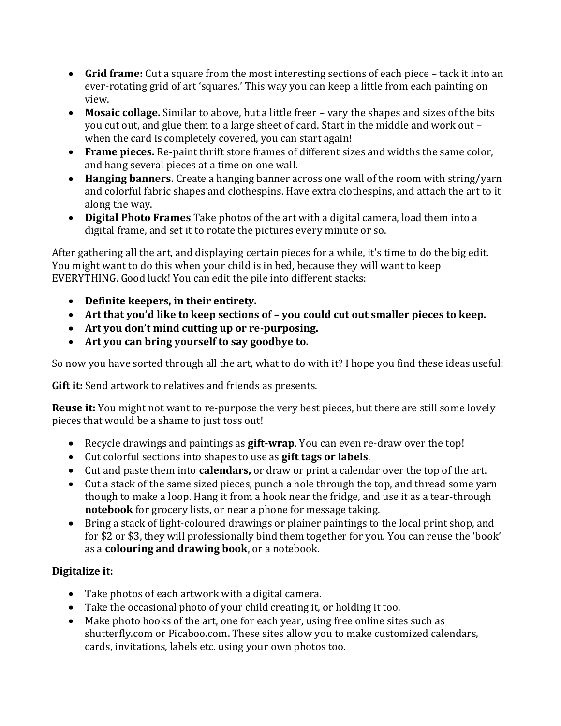- **Grid frame:** Cut a square from the most interesting sections of each piece tack it into an ever-rotating grid of art 'squares.' This way you can keep a little from each painting on view.
- **Mosaic collage.** Similar to above, but a little freer vary the shapes and sizes of the bits you cut out, and glue them to a large sheet of card. Start in the middle and work out – when the card is completely covered, you can start again!
- **Frame pieces.** Re-paint thrift store frames of different sizes and widths the same color, and hang several pieces at a time on one wall.
- **Hanging banners.** Create a hanging banner across one wall of the room with string/yarn and colorful fabric shapes and clothespins. Have extra clothespins, and attach the art to it along the way.
- **Digital Photo Frames** Take photos of the art with a digital camera, load them into a digital frame, and set it to rotate the pictures every minute or so.

After gathering all the art, and displaying certain pieces for a while, it's time to do the big edit. You might want to do this when your child is in bed, because they will want to keep EVERYTHING. Good luck! You can edit the pile into different stacks:

- **Definite keepers, in their entirety.**
- **Art that you'd like to keep sections of – you could cut out smaller pieces to keep.**
- **Art you don't mind cutting up or re-purposing.**
- **Art you can bring yourself to say goodbye to.**

So now you have sorted through all the art, what to do with it? I hope you find these ideas useful:

**Gift it:** Send artwork to relatives and friends as presents.

**Reuse it:** You might not want to re-purpose the very best pieces, but there are still some lovely pieces that would be a shame to just toss out!

- Recycle drawings and paintings as **gift-wrap**. You can even re-draw over the top!
- Cut colorful sections into shapes to use as **gift tags or labels**.
- Cut and paste them into **calendars,** or draw or print a calendar over the top of the art.
- Cut a stack of the same sized pieces, punch a hole through the top, and thread some yarn though to make a loop. Hang it from a hook near the fridge, and use it as a tear-through **notebook** for grocery lists, or near a phone for message taking.
- Bring a stack of light-coloured drawings or plainer paintings to the local print shop, and for \$2 or \$3, they will professionally bind them together for you. You can reuse the 'book' as a **colouring and drawing book**, or a notebook.

## **Digitalize it:**

- Take photos of each artwork with a digital camera.
- Take the occasional photo of your child creating it, or holding it too.
- Make photo books of the art, one for each year, using free online sites such as shutterfly.com or Picaboo.com. These sites allow you to make customized calendars, cards, invitations, labels etc. using your own photos too.